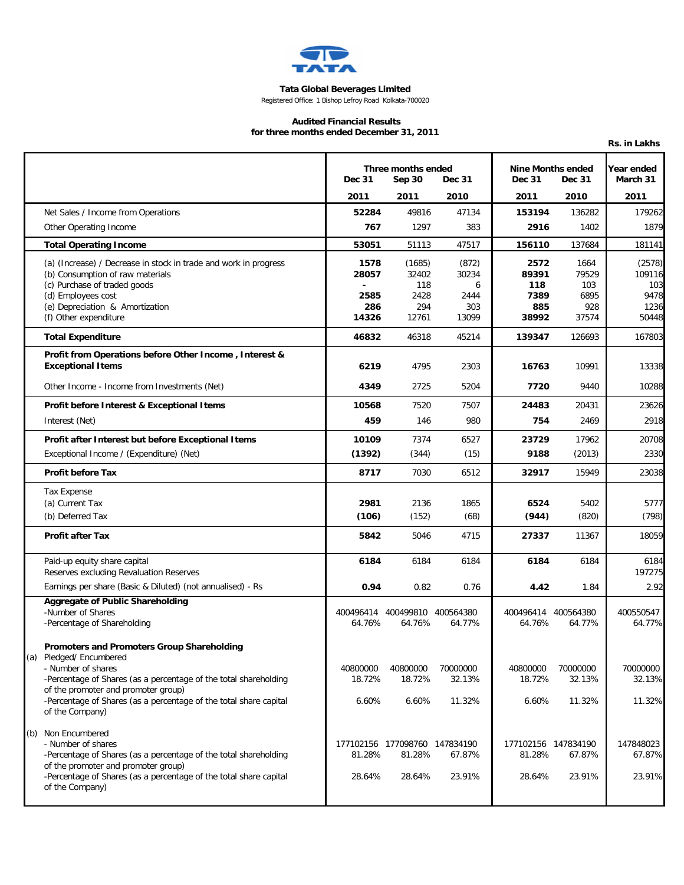

## **Tata Global Beverages Limited**

Registered Office: 1 Bishop Lefroy Road Kolkata-700020

## **Audited Financial Results for three months ended December 31, 2011**

|     |                                                                                                                                                                                                                                                                                            |                                                                |                                                   |                                             |                                                            |                                              | Rs. in Lakhs                                     |
|-----|--------------------------------------------------------------------------------------------------------------------------------------------------------------------------------------------------------------------------------------------------------------------------------------------|----------------------------------------------------------------|---------------------------------------------------|---------------------------------------------|------------------------------------------------------------|----------------------------------------------|--------------------------------------------------|
|     |                                                                                                                                                                                                                                                                                            | Three months ended<br><b>Dec 31</b><br>Sep 30<br><b>Dec 31</b> |                                                   |                                             | <b>Nine Months ended</b><br><b>Dec 31</b><br><b>Dec 31</b> |                                              | Year ended<br>March 31                           |
|     |                                                                                                                                                                                                                                                                                            | 2011                                                           | 2011                                              | 2010                                        | 2011                                                       | 2010                                         | 2011                                             |
|     | Net Sales / Income from Operations                                                                                                                                                                                                                                                         | 52284                                                          | 49816                                             | 47134                                       | 153194                                                     | 136282                                       | 179262                                           |
|     | Other Operating Income                                                                                                                                                                                                                                                                     | 767                                                            | 1297                                              | 383                                         | 2916                                                       | 1402                                         | 1879                                             |
|     | <b>Total Operating Income</b>                                                                                                                                                                                                                                                              | 53051                                                          | 51113                                             | 47517                                       | 156110                                                     | 137684                                       | 181141                                           |
|     | (a) (Increase) / Decrease in stock in trade and work in progress<br>(b) Consumption of raw materials<br>(c) Purchase of traded goods<br>(d) Employees cost<br>(e) Depreciation & Amortization<br>(f) Other expenditure                                                                     | 1578<br>28057<br>2585<br>286<br>14326                          | (1685)<br>32402<br>118<br>2428<br>294<br>12761    | (872)<br>30234<br>6<br>2444<br>303<br>13099 | 2572<br>89391<br>118<br>7389<br>885<br>38992               | 1664<br>79529<br>103<br>6895<br>928<br>37574 | (2578)<br>109116<br>103<br>9478<br>1236<br>50448 |
|     | <b>Total Expenditure</b>                                                                                                                                                                                                                                                                   | 46832                                                          | 46318                                             | 45214                                       | 139347                                                     | 126693                                       | 167803                                           |
|     | Profit from Operations before Other Income, Interest &<br><b>Exceptional Items</b>                                                                                                                                                                                                         | 6219                                                           | 4795                                              | 2303                                        | 16763                                                      | 10991                                        | 13338                                            |
|     | Other Income - Income from Investments (Net)                                                                                                                                                                                                                                               | 4349                                                           | 2725                                              | 5204                                        | 7720                                                       | 9440                                         | 10288                                            |
|     | Profit before Interest & Exceptional Items                                                                                                                                                                                                                                                 | 10568                                                          | 7520                                              | 7507                                        | 24483                                                      | 20431                                        | 23626                                            |
|     | Interest (Net)                                                                                                                                                                                                                                                                             | 459                                                            | 146                                               | 980                                         | 754                                                        | 2469                                         | 2918                                             |
|     | Profit after Interest but before Exceptional Items                                                                                                                                                                                                                                         | 10109                                                          | 7374                                              | 6527                                        | 23729                                                      | 17962                                        | 20708                                            |
|     | Exceptional Income / (Expenditure) (Net)                                                                                                                                                                                                                                                   | (1392)                                                         | (344)                                             | (15)                                        | 9188                                                       | (2013)                                       | 2330                                             |
|     | <b>Profit before Tax</b>                                                                                                                                                                                                                                                                   | 8717                                                           | 7030                                              | 6512                                        | 32917                                                      | 15949                                        | 23038                                            |
|     | <b>Tax Expense</b><br>(a) Current Tax                                                                                                                                                                                                                                                      | 2981                                                           | 2136                                              | 1865                                        | 6524                                                       | 5402                                         | 5777                                             |
|     | (b) Deferred Tax                                                                                                                                                                                                                                                                           | (106)                                                          | (152)                                             | (68)                                        | (944)                                                      | (820)                                        | (798)                                            |
|     | <b>Profit after Tax</b>                                                                                                                                                                                                                                                                    | 5842                                                           | 5046                                              | 4715                                        | 27337                                                      | 11367                                        | 18059                                            |
|     | Paid-up equity share capital<br>Reserves excluding Revaluation Reserves                                                                                                                                                                                                                    | 6184                                                           | 6184                                              | 6184                                        | 6184                                                       | 6184                                         | 6184<br>197275                                   |
|     | Earnings per share (Basic & Diluted) (not annualised) - Rs                                                                                                                                                                                                                                 | 0.94                                                           | 0.82                                              | 0.76                                        | 4.42                                                       | 1.84                                         | 2.92                                             |
|     | <b>Aggregate of Public Shareholding</b><br>-Number of Shares<br>-Percentage of Shareholding                                                                                                                                                                                                | 64.76%                                                         | 400496414 400499810 400564380<br>64.76%           | 64.77%                                      | 400496414 400564380<br>64.76%                              | 64.77%                                       | 400550547<br>64.77%                              |
| (a) | Promoters and Promoters Group Shareholding<br>Pledged/ Encumbered<br>- Number of shares<br>-Percentage of Shares (as a percentage of the total shareholding<br>of the promoter and promoter group)<br>-Percentage of Shares (as a percentage of the total share capital<br>of the Company) | 40800000<br>18.72%<br>6.60%                                    | 40800000<br>18.72%<br>6.60%                       | 70000000<br>32.13%<br>11.32%                | 40800000<br>18.72%<br>6.60%                                | 70000000<br>32.13%<br>11.32%                 | 70000000<br>32.13%<br>11.32%                     |
|     | (b) Non Encumbered<br>- Number of shares<br>-Percentage of Shares (as a percentage of the total shareholding<br>of the promoter and promoter group)<br>-Percentage of Shares (as a percentage of the total share capital<br>of the Company)                                                | 81.28%<br>28.64%                                               | 177102156 177098760 147834190<br>81.28%<br>28.64% | 67.87%<br>23.91%                            | 177102156 147834190<br>81.28%<br>28.64%                    | 67.87%<br>23.91%                             | 147848023<br>67.87%<br>23.91%                    |
|     |                                                                                                                                                                                                                                                                                            |                                                                |                                                   |                                             |                                                            |                                              |                                                  |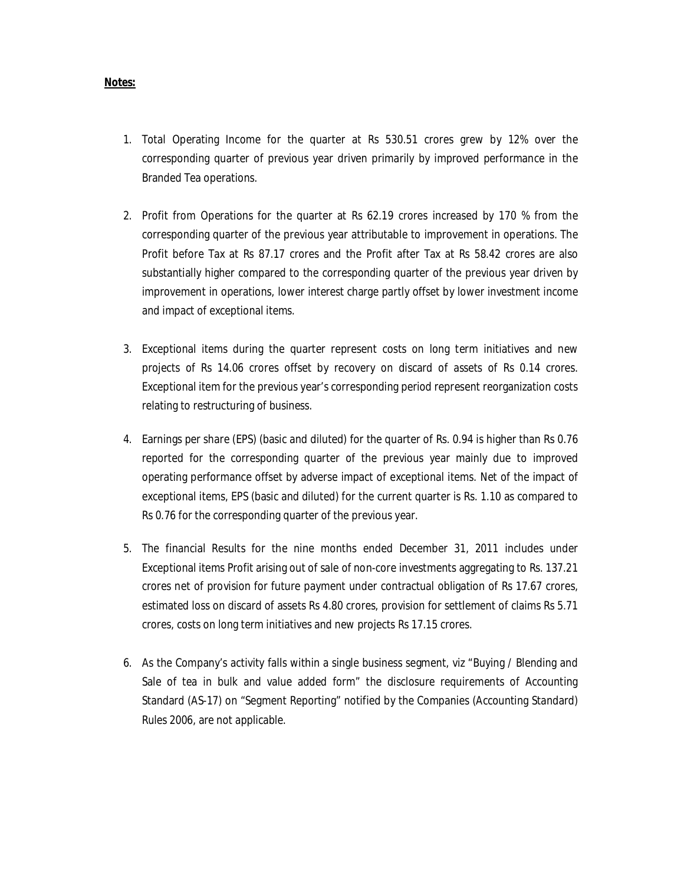## **Notes:**

- 1. Total Operating Income for the quarter at Rs 530.51 crores grew by 12% over the corresponding quarter of previous year driven primarily by improved performance in the Branded Tea operations.
- 2. Profit from Operations for the quarter at Rs 62.19 crores increased by 170 % from the corresponding quarter of the previous year attributable to improvement in operations. The Profit before Tax at Rs 87.17 crores and the Profit after Tax at Rs 58.42 crores are also substantially higher compared to the corresponding quarter of the previous year driven by improvement in operations, lower interest charge partly offset by lower investment income and impact of exceptional items.
- 3. Exceptional items during the quarter represent costs on long term initiatives and new projects of Rs 14.06 crores offset by recovery on discard of assets of Rs 0.14 crores. Exceptional item for the previous year's corresponding period represent reorganization costs relating to restructuring of business.
- 4. Earnings per share (EPS) (basic and diluted) for the quarter of Rs. 0.94 is higher than Rs 0.76 reported for the corresponding quarter of the previous year mainly due to improved operating performance offset by adverse impact of exceptional items. Net of the impact of exceptional items, EPS (basic and diluted) for the current quarter is Rs. 1.10 as compared to Rs 0.76 for the corresponding quarter of the previous year.
- 5. The financial Results for the nine months ended December 31, 2011 includes under Exceptional items Profit arising out of sale of non-core investments aggregating to Rs. 137.21 crores net of provision for future payment under contractual obligation of Rs 17.67 crores, estimated loss on discard of assets Rs 4.80 crores, provision for settlement of claims Rs 5.71 crores, costs on long term initiatives and new projects Rs 17.15 crores.
- 6. As the Company's activity falls within a single business segment, viz "Buying / Blending and Sale of tea in bulk and value added form" the disclosure requirements of Accounting Standard (AS-17) on "Segment Reporting" notified by the Companies (Accounting Standard) Rules 2006, are not applicable.